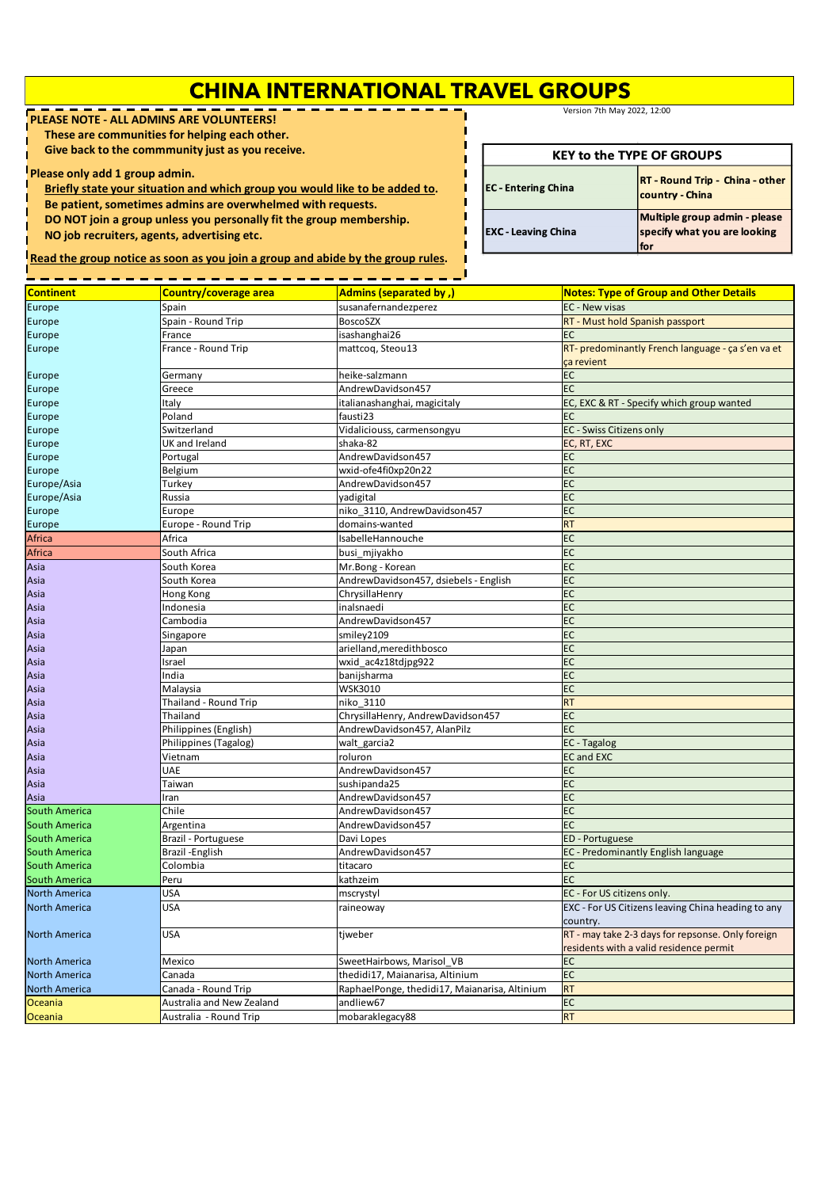## **CHINA INTERNATIONAL TRAVEL GROUPS**

**PLEASE NOTE - ALL ADMINS ARE VOLUNTEERS!** 

**These are communities for helping each other.** 

**Give back to the commmunity just as you receive.**

## **Please only add 1 group admin.**

**Briefly state your situation and which group you would like to be added to.** 

**Be patient, sometimes admins are overwhelmed with requests.** 

- **DO NOT join a group unless you personally fit the group membership.**
- **NO job recruiters, agents, advertising etc.**

**Read the group notice as soon as you join a group and abide by the group rules.** 

| <b>KEY to the TYPE OF GROUPS</b> |                                                                      |  |  |
|----------------------------------|----------------------------------------------------------------------|--|--|
| <b>EC</b> - Entering China       | <b>RT - Round Trip - China - other</b><br>country - China            |  |  |
| <b>EXC</b> - Leaving China       | Multiple group admin - please<br>specify what you are looking<br>for |  |  |

| <b>Continent</b>     | <b>Country/coverage area</b> | Admins (separated by,)                        | <b>Notes: Type of Group and Other Details</b>                                                |
|----------------------|------------------------------|-----------------------------------------------|----------------------------------------------------------------------------------------------|
| <b>Europe</b>        | Spain                        | susanafernandezperez                          | EC - New visas                                                                               |
| Europe               | Spain - Round Trip           | <b>BoscoSZX</b>                               | RT - Must hold Spanish passport                                                              |
| <b>Europe</b>        | France                       | isashanghai26                                 | EC                                                                                           |
| <b>Europe</b>        | France - Round Trip          | mattcoq, Steou13                              | RT-predominantly French language - ça s'en va et<br>ça revient                               |
| <b>Europe</b>        | Germany                      | heike-salzmann                                | EC                                                                                           |
| Europe               | Greece                       | AndrewDavidson457                             | EC                                                                                           |
| <b>Europe</b>        | Italy                        | italianashanghai, magicitaly                  | EC, EXC & RT - Specify which group wanted                                                    |
| <b>Europe</b>        | Poland                       | fausti23                                      | EC                                                                                           |
| <b>Europe</b>        | Switzerland                  | Vidaliciouss, carmensongyu                    | <b>EC</b> - Swiss Citizens only                                                              |
| <b>Europe</b>        | UK and Ireland               | shaka-82                                      | EC, RT, EXC                                                                                  |
| Europe               | Portugal                     | AndrewDavidson457                             | EC                                                                                           |
| <b>Europe</b>        | Belgium                      | wxid-ofe4fi0xp20n22                           | EC                                                                                           |
| Europe/Asia          | Turkey                       | AndrewDavidson457                             | EC                                                                                           |
| Europe/Asia          | Russia                       | yadigital                                     | EC                                                                                           |
| <b>Europe</b>        | Europe                       | niko 3110, AndrewDavidson457                  | EC                                                                                           |
| <b>Europe</b>        | Europe - Round Trip          | domains-wanted                                | <b>RT</b>                                                                                    |
| Africa               | Africa                       | IsabelleHannouche                             | EC                                                                                           |
|                      | South Africa                 | busi_mjiyakho                                 | EC                                                                                           |
| Africa<br>Asia       | South Korea                  | Mr.Bong - Korean                              | EC                                                                                           |
| Asia                 | South Korea                  | AndrewDavidson457, dsiebels - English         | EC                                                                                           |
| Asia                 | Hong Kong                    | ChrysillaHenry                                | EC                                                                                           |
| Asia                 | Indonesia                    | inalsnaedi                                    | EC                                                                                           |
| Asia                 | Cambodia                     | AndrewDavidson457                             | EC                                                                                           |
| Asia                 | Singapore                    | smiley2109                                    | EC                                                                                           |
| Asia                 | Japan                        | arielland, meredithbosco                      | EC                                                                                           |
| Asia                 | Israel                       | wxid_ac4z18tdjpg922                           | EC                                                                                           |
| Asia                 | India                        | banijsharma                                   | EC                                                                                           |
| Asia                 | Malaysia                     | WSK3010                                       | EC                                                                                           |
| Asia                 | Thailand - Round Trip        | niko 3110                                     | <b>RT</b>                                                                                    |
| Asia                 | Thailand                     | ChrysillaHenry, AndrewDavidson457             | EC                                                                                           |
| Asia                 | Philippines (English)        | AndrewDavidson457, AlanPilz                   | EC                                                                                           |
| Asia                 | Philippines (Tagalog)        | walt_garcia2                                  | <b>EC</b> - Tagalog                                                                          |
| Asia                 | Vietnam                      | roluron                                       | EC and EXC                                                                                   |
| Asia                 | UAE                          | AndrewDavidson457                             | EC                                                                                           |
| Asia                 | Taiwan                       | sushipanda25                                  | EC                                                                                           |
| Asia                 | Iran                         | AndrewDavidson457                             | EC                                                                                           |
| South America        | Chile                        | AndrewDavidson457                             | EC                                                                                           |
| <b>South America</b> | Argentina                    | AndrewDavidson457                             | EC                                                                                           |
| <b>South America</b> | Brazil - Portuguese          | Davi Lopes                                    | ED - Portuguese                                                                              |
| <b>South America</b> | Brazil - English             | AndrewDavidson457                             | EC - Predominantly English language                                                          |
| <b>South America</b> | Colombia                     | titacaro                                      | EC                                                                                           |
| <b>South America</b> | Peru                         | kathzeim                                      | EC                                                                                           |
| North America        | <b>USA</b>                   | mscrystyl                                     | EC - For US citizens only.                                                                   |
| <b>North America</b> | <b>USA</b>                   | raineoway                                     | EXC - For US Citizens leaving China heading to any<br>country.                               |
| <b>North America</b> | USA                          | tjweber                                       | RT - may take 2-3 days for repsonse. Only foreign<br>residents with a valid residence permit |
| <b>North America</b> | Mexico                       | SweetHairbows, Marisol VB                     | EC                                                                                           |
| <b>North America</b> | Canada                       | thedidi17, Maianarisa, Altinium               | EC                                                                                           |
| <b>North America</b> | Canada - Round Trip          | RaphaelPonge, thedidi17, Maianarisa, Altinium | <b>RT</b>                                                                                    |
| Oceania              | Australia and New Zealand    | andliew67                                     | EC                                                                                           |
| Oceania              | Australia - Round Trip       | mobaraklegacy88                               | <b>RT</b>                                                                                    |

Version 7th May 2022, 12:00